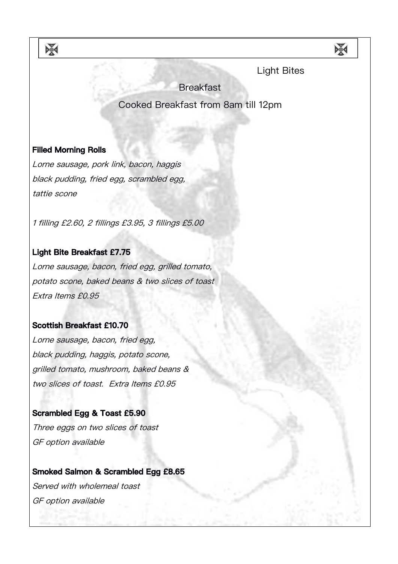Light Bites

**Ded** 

**Breakfast** 

Cooked Breakfast from 8am till 12pm

## **Filled Morning Rolls**

X

Lorne sausage, pork link, bacon, haggis black pudding, fried egg, scrambled egg, tattie scone

1 filling £2.60, 2 fillings £3.95, 3 fillings £5.00

## **Light Bite Breakfast £7.75**

Lorne sausage, bacon, fried egg, grilled tomato, potato scone, baked beans & two slices of toast Extra Items £0.95

### **Scottish Breakfast £10.70**

Lorne sausage, bacon, fried egg, black pudding, haggis, potato scone, grilled tomato, mushroom, baked beans & two slices of toast. Extra Items £0.95

### **Scrambled Egg & Toast £5.90**

Three eggs on two slices of toast GF option available

## **Smoked Salmon & Scrambled Egg £8.65**

Served with wholemeal toast GF option available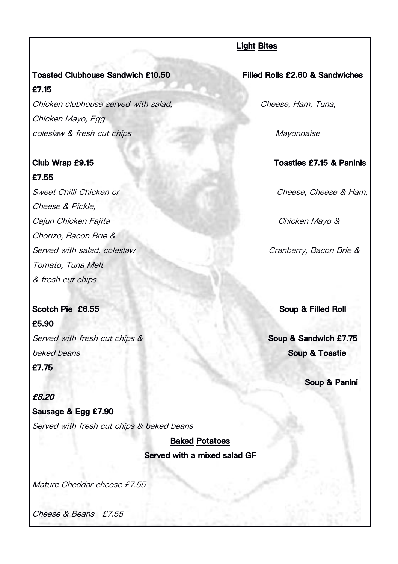#### **Light Bites**

## **Toasted Clubhouse Sandwich £10.50 Filled Rolls £2.60 & Sandwiches £7.15**

Chicken clubhouse served with salad, Cheese, Ham, Tuna, Chicken Mayo, Egg coleslaw & fresh cut chips Mayonnaise

### **£7.55**

Sweet Chilli Chicken or Cheese, Cheese & Ham, Cheese & Pickle, Cajun Chicken Fajita Chicken Mayo & Chorizo, Bacon Brie & Served with salad, coleslaw Cranberry, Bacon Brie & Tomato, Tuna Melt & fresh cut chips

## **Scotch Pie £6.55 Soup & FilledRoll £5.90**

Served with fresh cut chips & **Soup & Sandwich £7.75 baked beans Soup** & **Toastie** 

## **£7.75**

## **£8.20**

## **Sausage & Egg £7.90**

Served with fresh cut chips & baked beans

## **Baked Potatoes Served with a mixed salad GF**

Mature Cheddar cheese £7.55

Cheese & Beans £7.55

## **Club Wrap £9.15 Toasties £7.15 & Paninis**

**Soup & Panini**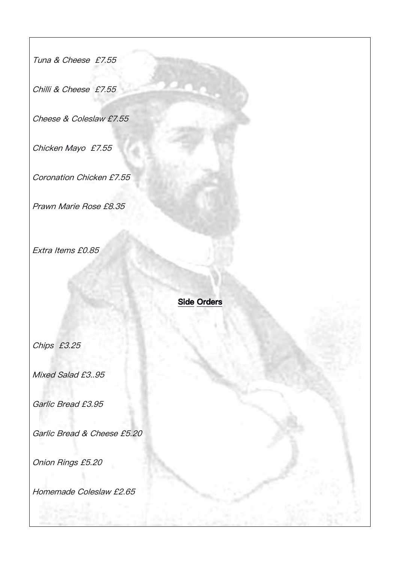Tuna & Cheese £7.55

Chilli & Cheese £7.55

Cheese & Coleslaw £7.55

Chicken Mayo £7.55

Coronation Chicken £7.55

Prawn Marie Rose £8.35

Extra Items £0.85

**Side Orders**

Chips £3.25

Mixed Salad £3..95

Garlic Bread £3.95

Garlic Bread & Cheese £5.20

Onion Rings £5.20

Homemade Coleslaw £2.65